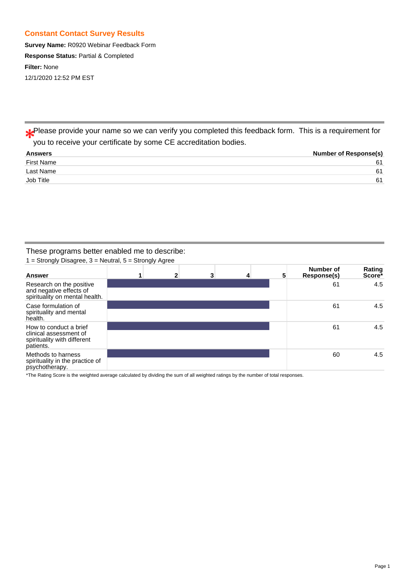# **Constant Contact Survey Results**

**Survey Name:** R0920 Webinar Feedback Form **Response Status:** Partial & Completed **Filter:** None 12/1/2020 12:52 PM EST

Please provide your name so we can verify you completed this feedback form. This is a requirement for you to receive your certificate by some CE accreditation bodies.

| <b>Answers</b> | <b>Number of Response(s)</b> |
|----------------|------------------------------|
| First Name     | 61                           |
| Last Name      | 61                           |
| Job Title      | 61                           |
|                |                              |

# These programs better enabled me to describe:

 $1 =$  Strongly Disagree,  $3 =$  Neutral,  $5 =$  Strongly Agree

| <b>Answer</b>                                                                                | 1 | $\mathbf{2}$ | 3 | 4 | 5 | Number of<br>Response(s) | Rating<br>Score* |
|----------------------------------------------------------------------------------------------|---|--------------|---|---|---|--------------------------|------------------|
| Research on the positive<br>and negative effects of<br>spirituality on mental health.        |   |              |   |   |   | 61                       | 4.5              |
| Case formulation of<br>spirituality and mental<br>health.                                    |   |              |   |   |   | 61                       | 4.5              |
| How to conduct a brief<br>clinical assessment of<br>spirituality with different<br>patients. |   |              |   |   |   | 61                       | 4.5              |
| Methods to harness<br>spirituality in the practice of<br>psychotherapy.                      |   |              |   |   |   | 60                       | 4.5              |

\*The Rating Score is the weighted average calculated by dividing the sum of all weighted ratings by the number of total responses.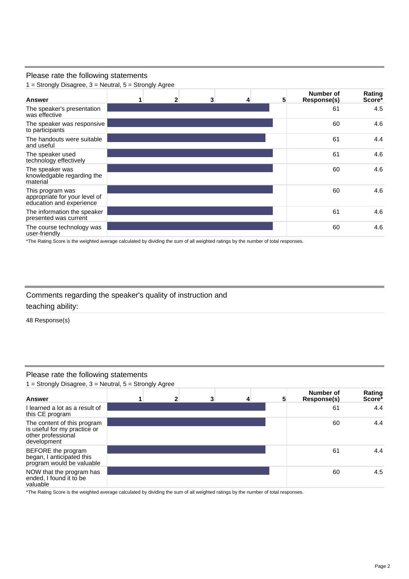## Please rate the following statements

 $1 =$  Strongly Disagree,  $3 =$  Neutral,  $5 =$  Strongly Agree

| <b>Answer</b>                                                                 | 1 | $\overline{2}$ | 3 | 4 | 5 | Number of<br><b>Response(s)</b> | Rating<br>Score* |
|-------------------------------------------------------------------------------|---|----------------|---|---|---|---------------------------------|------------------|
| The speaker's presentation<br>was effective                                   |   |                |   |   |   | 61                              | 4.5              |
| The speaker was responsive<br>to participants                                 |   |                |   |   |   | 60                              | 4.6              |
| The handouts were suitable<br>and useful                                      |   |                |   |   |   | 61                              | 4.4              |
| The speaker used<br>technology effectively                                    |   |                |   |   |   | 61                              | 4.6              |
| The speaker was<br>knowledgable regarding the<br>material                     |   |                |   |   |   | 60                              | 4.6              |
| This program was<br>appropriate for your level of<br>education and experience |   |                |   |   |   | 60                              | 4.6              |
| The information the speaker<br>presented was current                          |   |                |   |   |   | 61                              | 4.6              |
| The course technology was<br>user-friendly                                    |   |                |   |   |   | 60                              | 4.6              |

\*The Rating Score is the weighted average calculated by dividing the sum of all weighted ratings by the number of total responses.

Comments regarding the speaker's quality of instruction and teaching ability:

48 Response(s)

# Please rate the following statements

1 = Strongly Disagree,  $3$  = Neutral,  $5$  = Strongly Agree

| <b>Answer</b>                                                                                    | 11 | 3 | 4 | 5 | Number of<br>Response(s) | Rating<br>Score <sup>*</sup> |
|--------------------------------------------------------------------------------------------------|----|---|---|---|--------------------------|------------------------------|
| I learned a lot as a result of<br>this CE program                                                |    |   |   |   | 61                       | 4.4                          |
| The content of this program<br>is useful for my practice or<br>other professional<br>development |    |   |   |   | 60                       | 4.4                          |
| BEFORE the program<br>began, I anticipated this<br>program would be valuable                     |    |   |   |   | 61                       | 4.4                          |
| NOW that the program has<br>ended, I found it to be<br>valuable                                  |    |   |   |   | 60                       | 4.5                          |

\*The Rating Score is the weighted average calculated by dividing the sum of all weighted ratings by the number of total responses.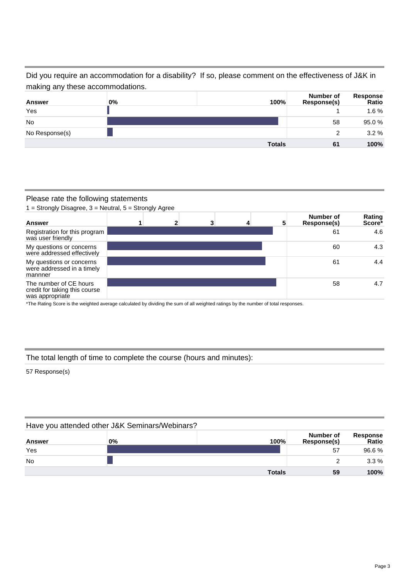Did you require an accommodation for a disability? If so, please comment on the effectiveness of J&K in making any these accommodations.

| Answer         | 0% | 100%          | Number of<br>Response(s) | Response<br>Ratio |
|----------------|----|---------------|--------------------------|-------------------|
| Yes            |    |               |                          | 1.6%              |
| <b>No</b>      |    |               | 58                       | 95.0%             |
| No Response(s) |    |               | 2                        | 3.2%              |
|                |    | <b>Totals</b> | 61                       | 100%              |

#### Please rate the following statements

 $1 =$  Strongly Disagree,  $3 =$  Neutral,  $5 =$  Strongly Agree



\*The Rating Score is the weighted average calculated by dividing the sum of all weighted ratings by the number of total responses.

## The total length of time to complete the course (hours and minutes):

57 Response(s)

|           | Have you attended other J&K Seminars/Webinars? |               |                          |                   |
|-----------|------------------------------------------------|---------------|--------------------------|-------------------|
| Answer    | 0%                                             | 100%          | Number of<br>Response(s) | Response<br>Ratio |
| Yes       |                                                |               | 57                       | 96.6%             |
| <b>No</b> |                                                |               |                          | $3.3\%$           |
|           |                                                | <b>Totals</b> | 59                       | 100%              |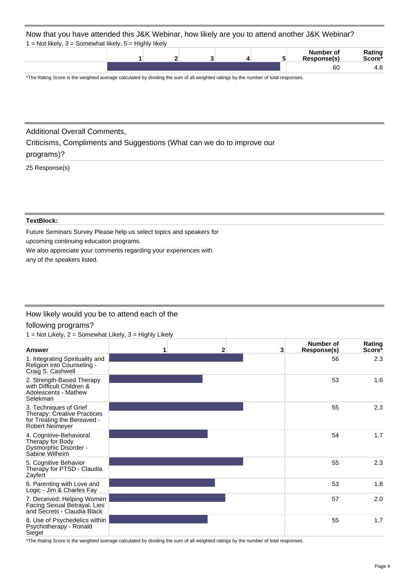#### Now that you have attended this J&K Webinar, how likely are you to attend another J&K Webinar? Not likely,  $3 =$  Somewhat likely,  $5 =$  Highly likely

| $=$ TVOC linery, $3 = 30$ inewright linery, $3 = 1$ lightly linery |  |  |                          |                  |
|--------------------------------------------------------------------|--|--|--------------------------|------------------|
|                                                                    |  |  | Number of<br>Response(s) | Rating<br>Score* |
|                                                                    |  |  | 60                       | 4.8              |

\*The Rating Score is the weighted average calculated by dividing the sum of all weighted ratings by the number of total responses.

# Additional Overall Comments,

Criticisms, Compliments and Suggestions (What can we do to improve our programs)?

### 25 Response(s)

#### **TextBlock:**

Future Seminars Survey Please help us select topics and speakers for upcoming continuing education programs.

We also appreciate your comments regarding your experiences with

any of the speakers listed.

# How likely would you be to attend each of the

## following programs?

 $1 = Not$  Likely,  $2 =$  Somewhat Likely,  $3 =$  Highly Likely

| Answer                                                                                                         | 1 | 2 <sup>1</sup> | 3 | Number of<br>Response(s) | Rating<br>Score* |
|----------------------------------------------------------------------------------------------------------------|---|----------------|---|--------------------------|------------------|
| 1. Integrating Spirituality and<br>Religion into Counseling -<br>Craig S. Cashwell                             |   |                |   | 56                       | 2.3              |
| 2. Strength-Based Therapy<br>with Difficult Children &<br>Adolescents - Mathew<br>Selekman                     |   |                |   | 53                       | 1.6              |
| 3. Techniques of Grief<br>Therapy: Creative Practices<br>for Treating the Bereaved -<br><b>Robert Neimeyer</b> |   |                |   | 55                       | 2.3              |
| 4. Cognitive-Behavioral<br>Therapy for Body<br>Dysmorphic Disorder -<br>Sabine Wilheim                         |   |                |   | 54                       | 1.7              |
| 5. Cognitive Behavior<br>Therapy for PTSD - Claudia<br>Zayfert                                                 |   |                |   | 55                       | 2.3              |
| 6. Parenting with Love and<br>Logic - Jim & Charles Fay                                                        |   |                |   | 53                       | 1.8              |
| 7. Deceived: Helping Women<br>Facing Sexual Betrayal, Lies<br>and Secrets - Claudia Black                      |   |                |   | 57                       | 2.0              |
| 8. Use of Psychedelics within<br>Psychotherapy - Ronald<br>Siegel                                              |   |                |   | 55                       | 1.7              |

\*The Rating Score is the weighted average calculated by dividing the sum of all weighted ratings by the number of total responses.